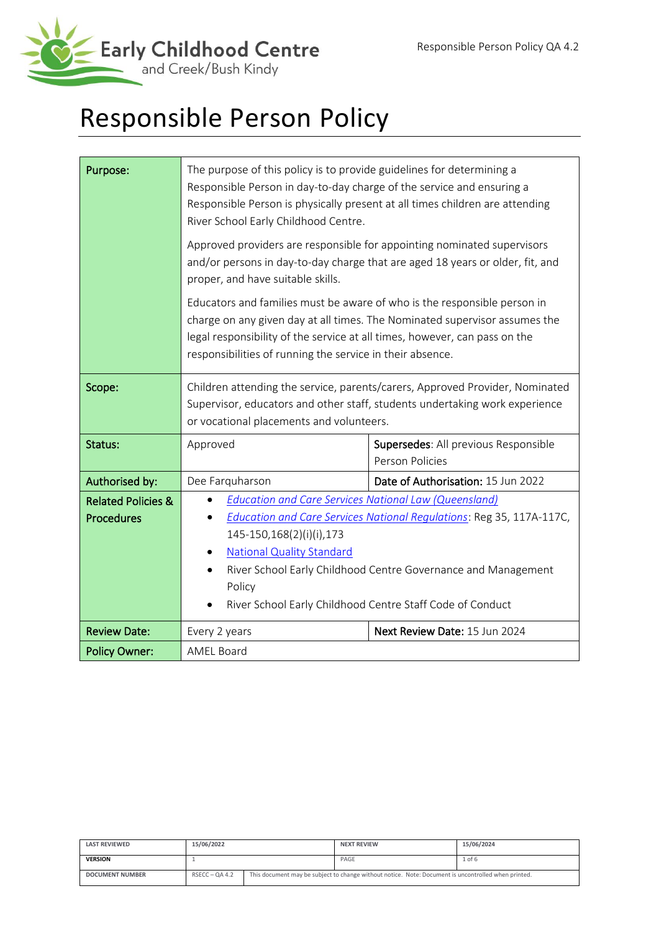

# Responsible Person Policy

| Purpose:                      | The purpose of this policy is to provide guidelines for determining a<br>Responsible Person in day-to-day charge of the service and ensuring a<br>Responsible Person is physically present at all times children are attending<br>River School Early Childhood Centre.                            |                                                                      |  |  |
|-------------------------------|---------------------------------------------------------------------------------------------------------------------------------------------------------------------------------------------------------------------------------------------------------------------------------------------------|----------------------------------------------------------------------|--|--|
|                               | Approved providers are responsible for appointing nominated supervisors<br>and/or persons in day-to-day charge that are aged 18 years or older, fit, and<br>proper, and have suitable skills.                                                                                                     |                                                                      |  |  |
|                               | Educators and families must be aware of who is the responsible person in<br>charge on any given day at all times. The Nominated supervisor assumes the<br>legal responsibility of the service at all times, however, can pass on the<br>responsibilities of running the service in their absence. |                                                                      |  |  |
| Scope:                        | Children attending the service, parents/carers, Approved Provider, Nominated<br>Supervisor, educators and other staff, students undertaking work experience<br>or vocational placements and volunteers.                                                                                           |                                                                      |  |  |
| Status:                       | Approved<br>Supersedes: All previous Responsible<br>Person Policies                                                                                                                                                                                                                               |                                                                      |  |  |
| Authorised by:                | Dee Farquharson                                                                                                                                                                                                                                                                                   | Date of Authorisation: 15 Jun 2022                                   |  |  |
| <b>Related Policies &amp;</b> | <b>Education and Care Services National Law (Queensland)</b>                                                                                                                                                                                                                                      |                                                                      |  |  |
| <b>Procedures</b>             |                                                                                                                                                                                                                                                                                                   | Education and Care Services National Regulations: Reg 35, 117A-117C, |  |  |
|                               | 145-150,168(2)(i)(i),173                                                                                                                                                                                                                                                                          |                                                                      |  |  |
|                               | <b>National Quality Standard</b>                                                                                                                                                                                                                                                                  |                                                                      |  |  |
|                               | River School Early Childhood Centre Governance and Management                                                                                                                                                                                                                                     |                                                                      |  |  |
|                               | Policy                                                                                                                                                                                                                                                                                            |                                                                      |  |  |
|                               | River School Early Childhood Centre Staff Code of Conduct                                                                                                                                                                                                                                         |                                                                      |  |  |
| <b>Review Date:</b>           | Every 2 years                                                                                                                                                                                                                                                                                     | Next Review Date: 15 Jun 2024                                        |  |  |
| <b>Policy Owner:</b>          | <b>AMEL Board</b>                                                                                                                                                                                                                                                                                 |                                                                      |  |  |

| <b>LAST REVIEWED</b>   | 15/06/2022       |  | <b>NEXT REVIEW</b>                                                                                  | 15/06/2024 |
|------------------------|------------------|--|-----------------------------------------------------------------------------------------------------|------------|
| <b>VERSION</b>         |                  |  | PAGE                                                                                                | $1$ of $6$ |
| <b>DOCUMENT NUMBER</b> | $RSECC - OA 4.2$ |  | This document may be subject to change without notice. Note: Document is uncontrolled when printed. |            |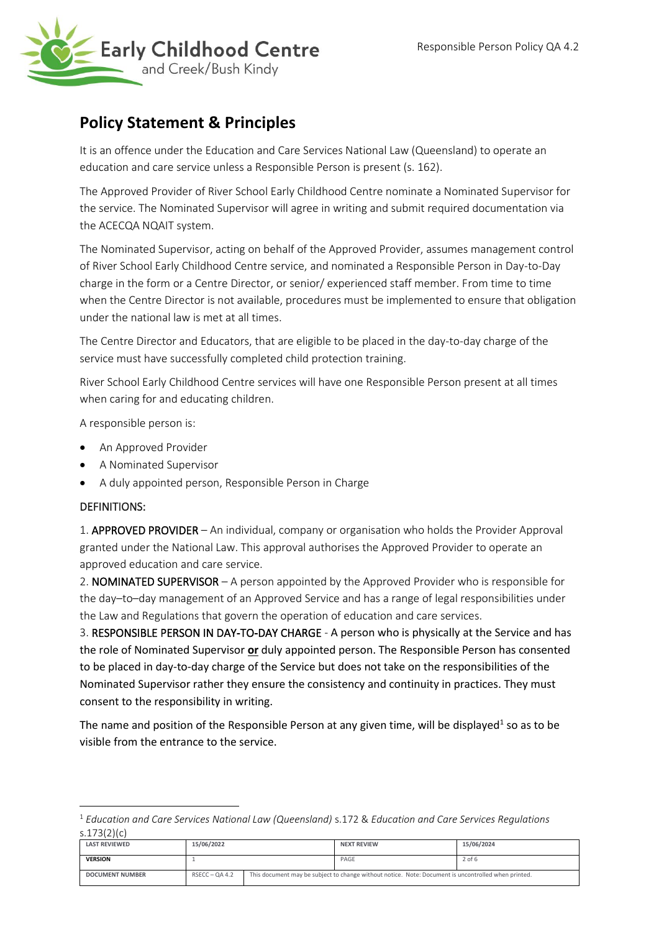

# **Policy Statement & Principles**

It is an offence under the Education and Care Services National Law (Queensland) to operate an education and care service unless a Responsible Person is present (s. 162).

The Approved Provider of River School Early Childhood Centre nominate a Nominated Supervisor for the service. The Nominated Supervisor will agree in writing and submit required documentation via the ACECQA NQAIT system.

The Nominated Supervisor, acting on behalf of the Approved Provider, assumes management control of River School Early Childhood Centre service, and nominated a Responsible Person in Day-to-Day charge in the form or a Centre Director, or senior/ experienced staff member. From time to time when the Centre Director is not available, procedures must be implemented to ensure that obligation under the national law is met at all times.

The Centre Director and Educators, that are eligible to be placed in the day-to-day charge of the service must have successfully completed child protection training.

River School Early Childhood Centre services will have one Responsible Person present at all times when caring for and educating children.

A responsible person is:

- An Approved Provider
- A Nominated Supervisor
- A duly appointed person, Responsible Person in Charge

#### DEFINITIONS:

1. APPROVED PROVIDER – An individual, company or organisation who holds the Provider Approval granted under the National Law. This approval authorises the Approved Provider to operate an approved education and care service.

2. NOMINATED SUPERVISOR – A person appointed by the Approved Provider who is responsible for the day–to–day management of an Approved Service and has a range of legal responsibilities under the Law and Regulations that govern the operation of education and care services.

3. RESPONSIBLE PERSON IN DAY-TO-DAY CHARGE - A person who is physically at the Service and has the role of Nominated Supervisor **or** duly appointed person. The Responsible Person has consented to be placed in day-to-day charge of the Service but does not take on the responsibilities of the Nominated Supervisor rather they ensure the consistency and continuity in practices. They must consent to the responsibility in writing.

The name and position of the Responsible Person at any given time, will be displayed<sup>1</sup> so as to be visible from the entrance to the service.

<sup>1</sup> *Education and Care Services National Law (Queensland)* s.172 & *Education and Care Services Regulations* s.173(2)(c)

| <b>LAST REVIEWED</b>   | 15/06/2022       |  | <b>NEXT REVIEW</b>                                                                                  | 15/06/2024 |
|------------------------|------------------|--|-----------------------------------------------------------------------------------------------------|------------|
| <b>VERSION</b>         |                  |  | PAGE                                                                                                | $2$ of 6   |
| <b>DOCUMENT NUMBER</b> | $RSECC - OA 4.2$ |  | This document may be subject to change without notice. Note: Document is uncontrolled when printed. |            |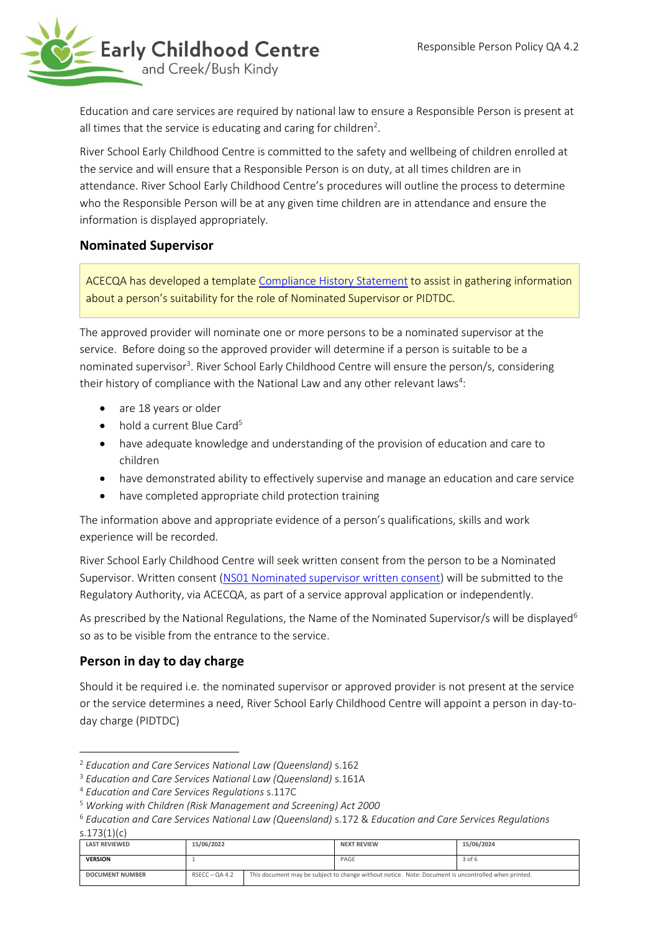

Education and care services are required by national law to ensure a Responsible Person is present at all times that the service is educating and caring for children<sup>2</sup>.

River School Early Childhood Centre is committed to the safety and wellbeing of children enrolled at the service and will ensure that a Responsible Person is on duty, at all times children are in attendance. River School Early Childhood Centre's procedures will outline the process to determine who the Responsible Person will be at any given time children are in attendance and ensure the information is displayed appropriately.

# **Nominated Supervisor**

ACECQA has developed a template [Compliance History Statement](https://www.acecqa.gov.au/resources/applications/sample-forms-and-templates) to assist in gathering information about a person's suitability for the role of Nominated Supervisor or PIDTDC.

The approved provider will nominate one or more persons to be a nominated supervisor at the service. Before doing so the approved provider will determine if a person is suitable to be a nominated supervisor<sup>3</sup>. River School Early Childhood Centre will ensure the person/s, considering their history of compliance with the National Law and any other relevant laws<sup>4</sup>:

- are 18 years or older
- $\bullet$  hold a current Blue Card<sup>5</sup>
- have adequate knowledge and understanding of the provision of education and care to children
- have demonstrated ability to effectively supervise and manage an education and care service
- have completed appropriate child protection training

The information above and appropriate evidence of a person's qualifications, skills and work experience will be recorded.

River School Early Childhood Centre will seek written consent from the person to be a Nominated Supervisor. Written consent [\(NS01 Nominated supervisor written consent\)](https://www.acecqa.gov.au/sites/default/files/2018-09/NS01_NominatedSupervisorConsentForm.pdf) will be submitted to the Regulatory Authority, via ACECQA, as part of a service approval application or independently.

As prescribed by the National Regulations, the Name of the Nominated Supervisor/s will be displayed<sup>6</sup> so as to be visible from the entrance to the service.

# **Person in day to day charge**

Should it be required i.e. the nominated supervisor or approved provider is not present at the service or the service determines a need, River School Early Childhood Centre will appoint a person in day-today charge (PIDTDC)

<sup>6</sup> *Education and Care Services National Law (Queensland)* s.172 & *Education and Care Services Regulations*

| s.173 $(1)(c)$         |                  |                                                                                                     |                    |            |  |
|------------------------|------------------|-----------------------------------------------------------------------------------------------------|--------------------|------------|--|
| <b>LAST REVIEWED</b>   | 15/06/2022       |                                                                                                     | <b>NEXT REVIEW</b> | 15/06/2024 |  |
| <b>VERSION</b>         |                  |                                                                                                     | PAGE               | $3$ of $6$ |  |
| <b>DOCUMENT NUMBER</b> | $RSECC - QA 4.2$ | This document may be subject to change without notice. Note: Document is uncontrolled when printed. |                    |            |  |

<sup>2</sup> *Education and Care Services National Law (Queensland)* s.162

<sup>3</sup> *Education and Care Services National Law (Queensland)* s.161A

<sup>4</sup> *Education and Care Services Regulations* s.117C

<sup>5</sup> *Working with Children (Risk Management and Screening) Act 2000*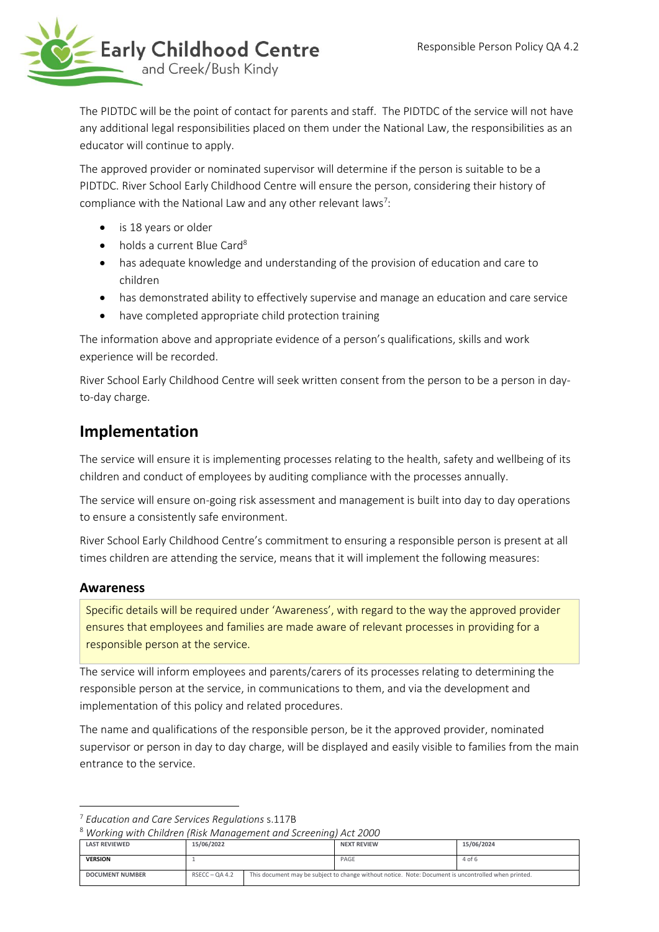

The PIDTDC will be the point of contact for parents and staff. The PIDTDC of the service will not have any additional legal responsibilities placed on them under the National Law, the responsibilities as an educator will continue to apply.

The approved provider or nominated supervisor will determine if the person is suitable to be a PIDTDC. River School Early Childhood Centre will ensure the person, considering their history of compliance with the National Law and any other relevant laws<sup>7</sup>:

- is 18 years or older
- $\bullet$  holds a current Blue Card<sup>8</sup>
- has adequate knowledge and understanding of the provision of education and care to children
- has demonstrated ability to effectively supervise and manage an education and care service
- have completed appropriate child protection training

The information above and appropriate evidence of a person's qualifications, skills and work experience will be recorded.

River School Early Childhood Centre will seek written consent from the person to be a person in dayto-day charge.

# **Implementation**

The service will ensure it is implementing processes relating to the health, safety and wellbeing of its children and conduct of employees by auditing compliance with the processes annually.

The service will ensure on-going risk assessment and management is built into day to day operations to ensure a consistently safe environment.

River School Early Childhood Centre's commitment to ensuring a responsible person is present at all times children are attending the service, means that it will implement the following measures:

#### **Awareness**

Specific details will be required under 'Awareness', with regard to the way the approved provider ensures that employees and families are made aware of relevant processes in providing for a responsible person at the service.

The service will inform employees and parents/carers of its processes relating to determining the responsible person at the service, in communications to them, and via the development and implementation of this policy and related procedures.

The name and qualifications of the responsible person, be it the approved provider, nominated supervisor or person in day to day charge, will be displayed and easily visible to families from the main entrance to the service.

```
8 Working with Children (Risk Management and Screening) Act 2000
```

| <b>LAST REVIEWED</b>   | 15/06/2022       | <b>NEXT REVIEW</b>                                                                                  | 15/06/2024 |
|------------------------|------------------|-----------------------------------------------------------------------------------------------------|------------|
| <b>VERSION</b>         |                  | PAGE                                                                                                | 4 of 6     |
| <b>DOCUMENT NUMBER</b> | $RSECC - OA 4.2$ | This document may be subject to change without notice. Note: Document is uncontrolled when printed. |            |

<sup>7</sup> *Education and Care Services Regulations* s.117B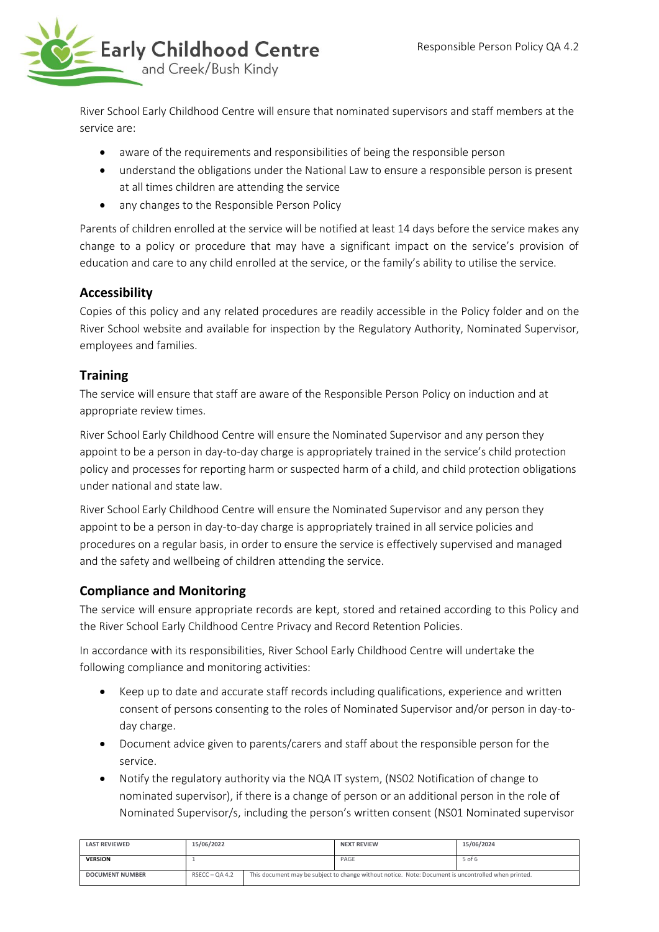

River School Early Childhood Centre will ensure that nominated supervisors and staff members at the service are:

- aware of the requirements and responsibilities of being the responsible person
- understand the obligations under the National Law to ensure a responsible person is present at all times children are attending the service
- any changes to the Responsible Person Policy

Parents of children enrolled at the service will be notified at least 14 days before the service makes any change to a policy or procedure that may have a significant impact on the service's provision of education and care to any child enrolled at the service, or the family's ability to utilise the service.

# **Accessibility**

Copies of this policy and any related procedures are readily accessible in the Policy folder and on the River School website and available for inspection by the Regulatory Authority, Nominated Supervisor, employees and families.

# **Training**

The service will ensure that staff are aware of the Responsible Person Policy on induction and at appropriate review times.

River School Early Childhood Centre will ensure the Nominated Supervisor and any person they appoint to be a person in day-to-day charge is appropriately trained in the service's child protection policy and processes for reporting harm or suspected harm of a child, and child protection obligations under national and state law.

River School Early Childhood Centre will ensure the Nominated Supervisor and any person they appoint to be a person in day-to-day charge is appropriately trained in all service policies and procedures on a regular basis, in order to ensure the service is effectively supervised and managed and the safety and wellbeing of children attending the service.

# **Compliance and Monitoring**

The service will ensure appropriate records are kept, stored and retained according to this Policy and the River School Early Childhood Centre Privacy and Record Retention Policies.

In accordance with its responsibilities, River School Early Childhood Centre will undertake the following compliance and monitoring activities:

- Keep up to date and accurate staff records including qualifications, experience and written consent of persons consenting to the roles of Nominated Supervisor and/or person in day-today charge.
- Document advice given to parents/carers and staff about the responsible person for the service.
- Notify the regulatory authority via the NQA IT system, (NS02 Notification of change to nominated supervisor), if there is a change of person or an additional person in the role of Nominated Supervisor/s, including the person's written consent (NS01 Nominated supervisor

| <b>LAST REVIEWED</b>   | 15/06/2022       |  | <b>NEXT REVIEW</b>                                                                                  | 15/06/2024 |
|------------------------|------------------|--|-----------------------------------------------------------------------------------------------------|------------|
| <b>VERSION</b>         |                  |  | PAGE                                                                                                | 5 of 6     |
| <b>DOCUMENT NUMBER</b> | $RSECC - OA 4.2$ |  | This document may be subject to change without notice. Note: Document is uncontrolled when printed. |            |